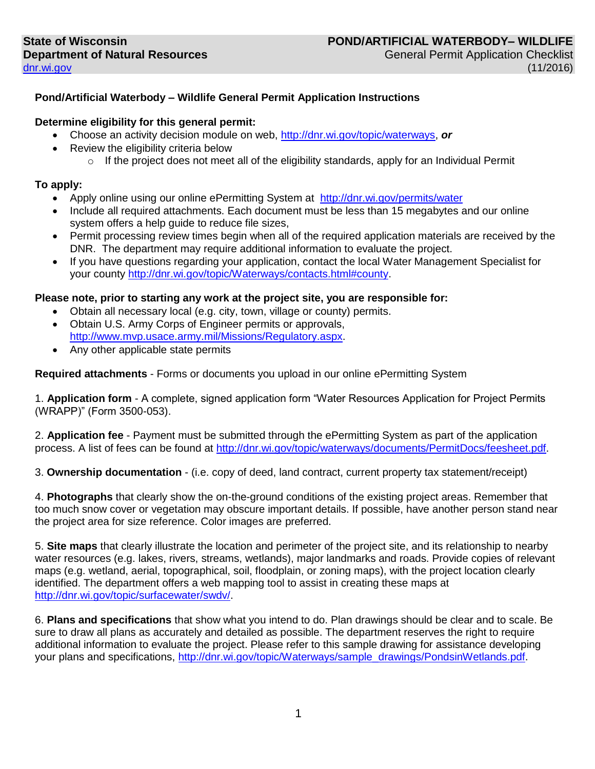### **Pond/Artificial Waterbody – Wildlife General Permit Application Instructions**

#### **Determine eligibility for this general permit:**

- Choose an activity decision module on web, [http://dnr.wi.gov/topic/waterways,](http://dnr.wi.gov/topic/waterways) *or*
- Review the eligibility criteria below
	- $\circ$  If the project does not meet all of the eligibility standards, apply for an Individual Permit

#### **To apply:**

- Apply online using our online ePermitting System at <http://dnr.wi.gov/permits/water>
- Include all required attachments. Each document must be less than 15 megabytes and our online system offers a help guide to reduce file sizes,
- Permit processing review times begin when all of the required application materials are received by the DNR. The department may require additional information to evaluate the project.
- If you have questions regarding your application, contact the local Water Management Specialist for your county [http://dnr.wi.gov/topic/Waterways/contacts.html#county.](http://dnr.wi.gov/topic/Waterways/contacts.html#county)

#### **Please note, prior to starting any work at the project site, you are responsible for:**

- Obtain all necessary local (e.g. city, town, village or county) permits.
- Obtain U.S. Army Corps of Engineer permits or approvals, [http://www.mvp.usace.army.mil/Missions/Regulatory.aspx.](http://www.mvp.usace.army.mil/Missions/Regulatory.aspx)
- Any other applicable state permits

**Required attachments** - Forms or documents you upload in our online ePermitting System

1. **Application form** - A complete, signed application form "Water Resources Application for Project Permits (WRAPP)" (Form 3500-053).

2. **Application fee** - Payment must be submitted through the ePermitting System as part of the application process. A list of fees can be found at [http://dnr.wi.gov/topic/waterways/documents/PermitDocs/feesheet.pdf.](http://dnr.wi.gov/topic/waterways/documents/PermitDocs/feesheet.pdf)

3. **Ownership documentation** - (i.e. copy of deed, land contract, current property tax statement/receipt)

4. **Photographs** that clearly show the on-the-ground conditions of the existing project areas. Remember that too much snow cover or vegetation may obscure important details. If possible, have another person stand near the project area for size reference. Color images are preferred.

5. **Site maps** that clearly illustrate the location and perimeter of the project site, and its relationship to nearby water resources (e.g. lakes, rivers, streams, wetlands), major landmarks and roads. Provide copies of relevant maps (e.g. wetland, aerial, topographical, soil, floodplain, or zoning maps), with the project location clearly identified. The department offers a web mapping tool to assist in creating these maps at [http://dnr.wi.gov/topic/surfacewater/swdv/.](http://dnr.wi.gov/topic/surfacewater/swdv/)

6. **Plans and specifications** that show what you intend to do. Plan drawings should be clear and to scale. Be sure to draw all plans as accurately and detailed as possible. The department reserves the right to require additional information to evaluate the project. Please refer to this sample drawing for assistance developing your plans and specifications, [http://dnr.wi.gov/topic/Waterways/sample\\_drawings/PondsinWetlands.pdf.](http://dnr.wi.gov/topic/Waterways/sample_drawings/PondsinWetlands.pdf)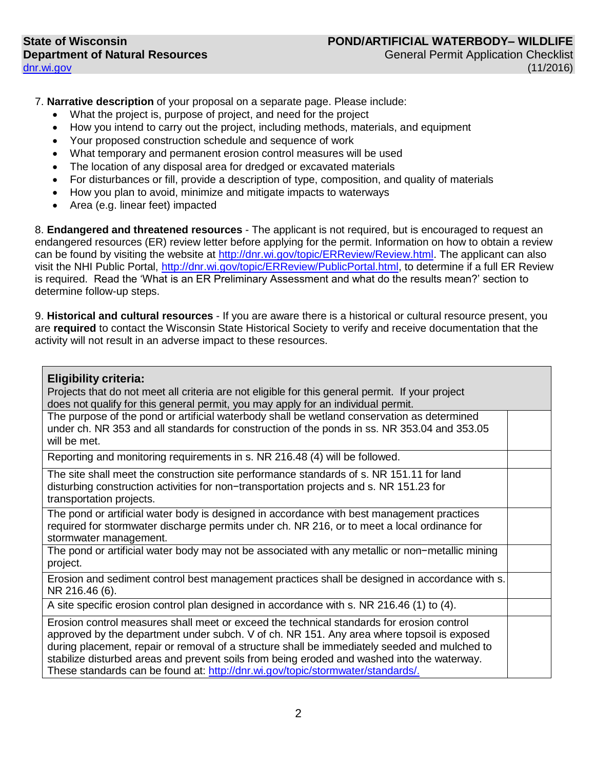7. **Narrative description** of your proposal on a separate page. Please include:

- What the project is, purpose of project, and need for the project
- How you intend to carry out the project, including methods, materials, and equipment
- Your proposed construction schedule and sequence of work
- What temporary and permanent erosion control measures will be used
- The location of any disposal area for dredged or excavated materials
- For disturbances or fill, provide a description of type, composition, and quality of materials
- How you plan to avoid, minimize and mitigate impacts to waterways
- Area (e.g. linear feet) impacted

8. **Endangered and threatened resources** - The applicant is not required, but is encouraged to request an endangered resources (ER) review letter before applying for the permit. Information on how to obtain a review can be found by visiting the website at [http://dnr.wi.gov/topic/ERReview/Review.html.](http://dnr.wi.gov/topic/ERReview/Review.html) The applicant can also visit the NHI Public Portal, [http://dnr.wi.gov/topic/ERReview/PublicPortal.html,](http://dnr.wi.gov/topic/ERReview/PublicPortal.html) to determine if a full ER Review is required. Read the 'What is an ER Preliminary Assessment and what do the results mean?' section to determine follow-up steps.

9. **Historical and cultural resources** - If you are aware there is a historical or cultural resource present, you are **required** to contact the Wisconsin State Historical Society to verify and receive documentation that the activity will not result in an adverse impact to these resources.

| <b>Eligibility criteria:</b><br>Projects that do not meet all criteria are not eligible for this general permit. If your project<br>does not qualify for this general permit, you may apply for an individual permit.                                                                                                                                                                                                                                                      |  |
|----------------------------------------------------------------------------------------------------------------------------------------------------------------------------------------------------------------------------------------------------------------------------------------------------------------------------------------------------------------------------------------------------------------------------------------------------------------------------|--|
| The purpose of the pond or artificial waterbody shall be wetland conservation as determined<br>under ch. NR 353 and all standards for construction of the ponds in ss. NR 353.04 and 353.05<br>will be met.                                                                                                                                                                                                                                                                |  |
| Reporting and monitoring requirements in s. NR 216.48 (4) will be followed.                                                                                                                                                                                                                                                                                                                                                                                                |  |
| The site shall meet the construction site performance standards of s. NR 151.11 for land<br>disturbing construction activities for non-transportation projects and s. NR 151.23 for<br>transportation projects.                                                                                                                                                                                                                                                            |  |
| The pond or artificial water body is designed in accordance with best management practices<br>required for stormwater discharge permits under ch. NR 216, or to meet a local ordinance for<br>stormwater management.                                                                                                                                                                                                                                                       |  |
| The pond or artificial water body may not be associated with any metallic or non-metallic mining<br>project.                                                                                                                                                                                                                                                                                                                                                               |  |
| Erosion and sediment control best management practices shall be designed in accordance with s.<br>NR 216.46 (6).                                                                                                                                                                                                                                                                                                                                                           |  |
| A site specific erosion control plan designed in accordance with s. NR 216.46 (1) to (4).                                                                                                                                                                                                                                                                                                                                                                                  |  |
| Erosion control measures shall meet or exceed the technical standards for erosion control<br>approved by the department under subch. V of ch. NR 151. Any area where topsoil is exposed<br>during placement, repair or removal of a structure shall be immediately seeded and mulched to<br>stabilize disturbed areas and prevent soils from being eroded and washed into the waterway.<br>These standards can be found at: http://dnr.wi.gov/topic/stormwater/standards/. |  |